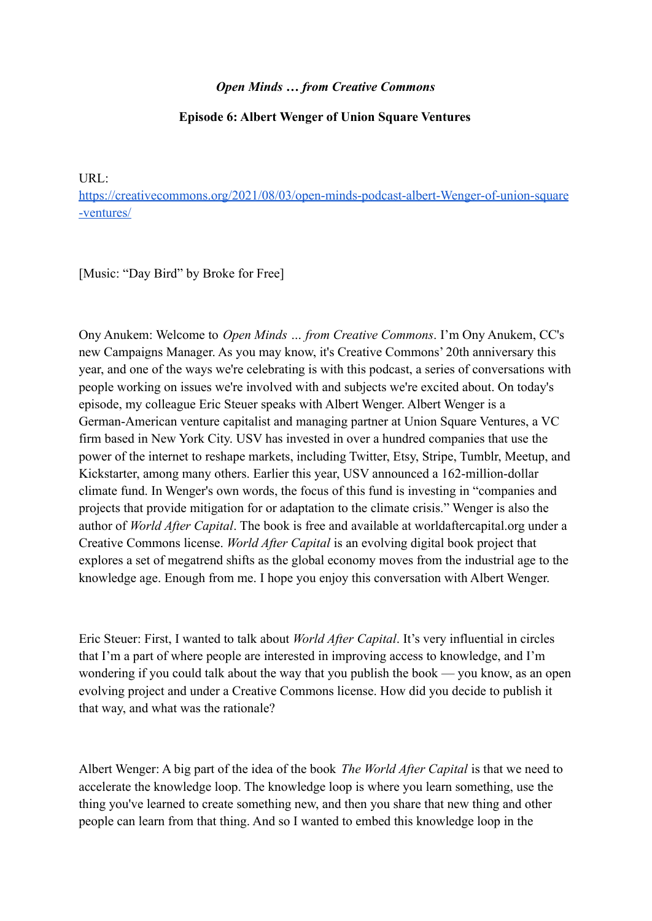## *Open Minds … from Creative Commons*

## **Episode 6: Albert Wenger of Union Square Ventures**

URL[:](https://creativecommons.org/2021/08/03/open-minds-podcast-albert-wenger-of-union-square-ventures/)

[https://creativecommons.org/2021/08/03/open-minds-podcast-albert-Wenger-of-union-square](https://creativecommons.org/2021/08/03/open-minds-podcast-albert-wenger-of-union-square-ventures/) [-ventures/](https://creativecommons.org/2021/08/03/open-minds-podcast-albert-wenger-of-union-square-ventures/)

[Music: "Day Bird" by Broke for Free]

Ony Anukem: Welcome to *Open Minds … from Creative Commons*. I'm Ony Anukem, CC's new Campaigns Manager. As you may know, it's Creative Commons' 20th anniversary this year, and one of the ways we're celebrating is with this podcast, a series of conversations with people working on issues we're involved with and subjects we're excited about. On today's episode, my colleague Eric Steuer speaks with Albert Wenger. Albert Wenger is a German-American venture capitalist and managing partner at Union Square Ventures, a VC firm based in New York City. USV has invested in over a hundred companies that use the power of the internet to reshape markets, including Twitter, Etsy, Stripe, Tumblr, Meetup, and Kickstarter, among many others. Earlier this year, USV announced a 162-million-dollar climate fund. In Wenger's own words, the focus of this fund is investing in "companies and projects that provide mitigation for or adaptation to the climate crisis." Wenger is also the author of *World After Capital*. The book is free and available at worldaftercapital.org under a Creative Commons license. *World After Capital* is an evolving digital book project that explores a set of megatrend shifts as the global economy moves from the industrial age to the knowledge age. Enough from me. I hope you enjoy this conversation with Albert Wenger.

Eric Steuer: First, I wanted to talk about *World After Capital*. It's very influential in circles that I'm a part of where people are interested in improving access to knowledge, and I'm wondering if you could talk about the way that you publish the book — you know, as an open evolving project and under a Creative Commons license. How did you decide to publish it that way, and what was the rationale?

Albert Wenger: A big part of the idea of the book *The World After Capital* is that we need to accelerate the knowledge loop. The knowledge loop is where you learn something, use the thing you've learned to create something new, and then you share that new thing and other people can learn from that thing. And so I wanted to embed this knowledge loop in the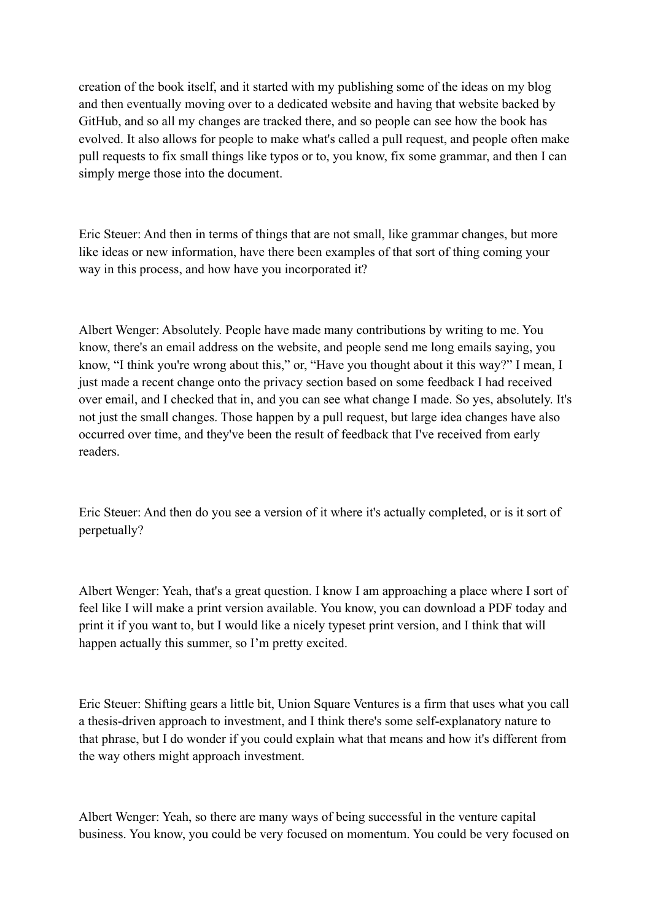creation of the book itself, and it started with my publishing some of the ideas on my blog and then eventually moving over to a dedicated website and having that website backed by GitHub, and so all my changes are tracked there, and so people can see how the book has evolved. It also allows for people to make what's called a pull request, and people often make pull requests to fix small things like typos or to, you know, fix some grammar, and then I can simply merge those into the document.

Eric Steuer: And then in terms of things that are not small, like grammar changes, but more like ideas or new information, have there been examples of that sort of thing coming your way in this process, and how have you incorporated it?

Albert Wenger: Absolutely. People have made many contributions by writing to me. You know, there's an email address on the website, and people send me long emails saying, you know, "I think you're wrong about this," or, "Have you thought about it this way?" I mean, I just made a recent change onto the privacy section based on some feedback I had received over email, and I checked that in, and you can see what change I made. So yes, absolutely. It's not just the small changes. Those happen by a pull request, but large idea changes have also occurred over time, and they've been the result of feedback that I've received from early readers.

Eric Steuer: And then do you see a version of it where it's actually completed, or is it sort of perpetually?

Albert Wenger: Yeah, that's a great question. I know I am approaching a place where I sort of feel like I will make a print version available. You know, you can download a PDF today and print it if you want to, but I would like a nicely typeset print version, and I think that will happen actually this summer, so I'm pretty excited.

Eric Steuer: Shifting gears a little bit, Union Square Ventures is a firm that uses what you call a thesis-driven approach to investment, and I think there's some self-explanatory nature to that phrase, but I do wonder if you could explain what that means and how it's different from the way others might approach investment.

Albert Wenger: Yeah, so there are many ways of being successful in the venture capital business. You know, you could be very focused on momentum. You could be very focused on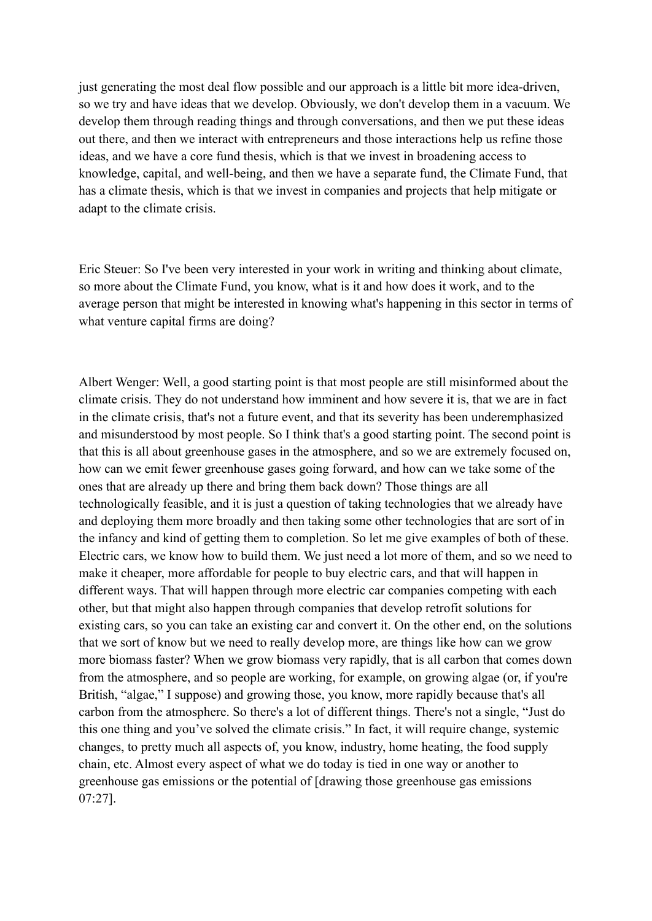just generating the most deal flow possible and our approach is a little bit more idea-driven, so we try and have ideas that we develop. Obviously, we don't develop them in a vacuum. We develop them through reading things and through conversations, and then we put these ideas out there, and then we interact with entrepreneurs and those interactions help us refine those ideas, and we have a core fund thesis, which is that we invest in broadening access to knowledge, capital, and well-being, and then we have a separate fund, the Climate Fund, that has a climate thesis, which is that we invest in companies and projects that help mitigate or adapt to the climate crisis.

Eric Steuer: So I've been very interested in your work in writing and thinking about climate, so more about the Climate Fund, you know, what is it and how does it work, and to the average person that might be interested in knowing what's happening in this sector in terms of what venture capital firms are doing?

Albert Wenger: Well, a good starting point is that most people are still misinformed about the climate crisis. They do not understand how imminent and how severe it is, that we are in fact in the climate crisis, that's not a future event, and that its severity has been underemphasized and misunderstood by most people. So I think that's a good starting point. The second point is that this is all about greenhouse gases in the atmosphere, and so we are extremely focused on, how can we emit fewer greenhouse gases going forward, and how can we take some of the ones that are already up there and bring them back down? Those things are all technologically feasible, and it is just a question of taking technologies that we already have and deploying them more broadly and then taking some other technologies that are sort of in the infancy and kind of getting them to completion. So let me give examples of both of these. Electric cars, we know how to build them. We just need a lot more of them, and so we need to make it cheaper, more affordable for people to buy electric cars, and that will happen in different ways. That will happen through more electric car companies competing with each other, but that might also happen through companies that develop retrofit solutions for existing cars, so you can take an existing car and convert it. On the other end, on the solutions that we sort of know but we need to really develop more, are things like how can we grow more biomass faster? When we grow biomass very rapidly, that is all carbon that comes down from the atmosphere, and so people are working, for example, on growing algae (or, if you're British, "algae," I suppose) and growing those, you know, more rapidly because that's all carbon from the atmosphere. So there's a lot of different things. There's not a single, "Just do this one thing and you've solved the climate crisis." In fact, it will require change, systemic changes, to pretty much all aspects of, you know, industry, home heating, the food supply chain, etc. Almost every aspect of what we do today is tied in one way or another to greenhouse gas emissions or the potential of [drawing those greenhouse gas emissions 07:27].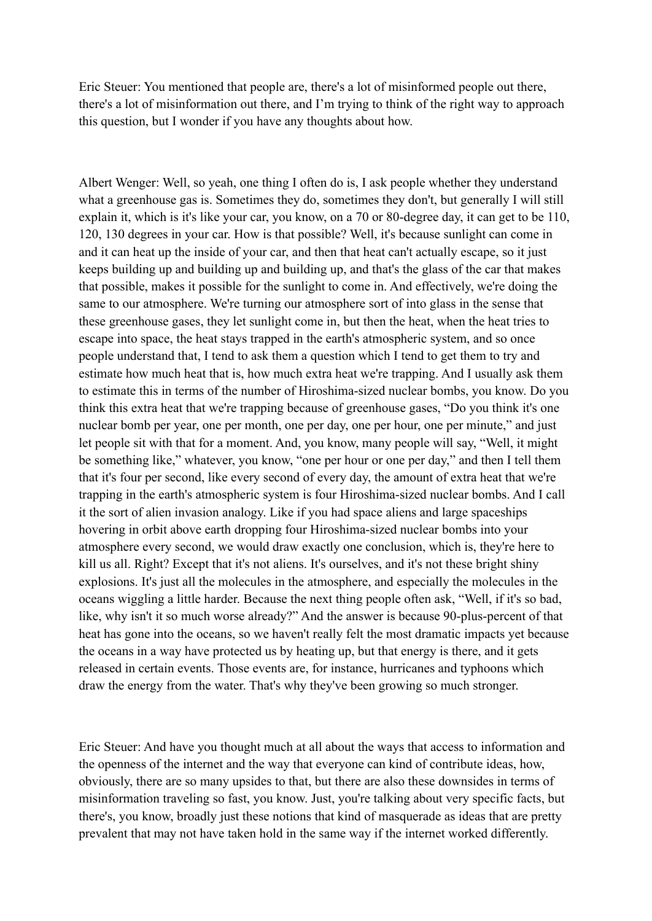Eric Steuer: You mentioned that people are, there's a lot of misinformed people out there, there's a lot of misinformation out there, and I'm trying to think of the right way to approach this question, but I wonder if you have any thoughts about how.

Albert Wenger: Well, so yeah, one thing I often do is, I ask people whether they understand what a greenhouse gas is. Sometimes they do, sometimes they don't, but generally I will still explain it, which is it's like your car, you know, on a 70 or 80-degree day, it can get to be 110, 120, 130 degrees in your car. How is that possible? Well, it's because sunlight can come in and it can heat up the inside of your car, and then that heat can't actually escape, so it just keeps building up and building up and building up, and that's the glass of the car that makes that possible, makes it possible for the sunlight to come in. And effectively, we're doing the same to our atmosphere. We're turning our atmosphere sort of into glass in the sense that these greenhouse gases, they let sunlight come in, but then the heat, when the heat tries to escape into space, the heat stays trapped in the earth's atmospheric system, and so once people understand that, I tend to ask them a question which I tend to get them to try and estimate how much heat that is, how much extra heat we're trapping. And I usually ask them to estimate this in terms of the number of Hiroshima-sized nuclear bombs, you know. Do you think this extra heat that we're trapping because of greenhouse gases, "Do you think it's one nuclear bomb per year, one per month, one per day, one per hour, one per minute," and just let people sit with that for a moment. And, you know, many people will say, "Well, it might be something like," whatever, you know, "one per hour or one per day," and then I tell them that it's four per second, like every second of every day, the amount of extra heat that we're trapping in the earth's atmospheric system is four Hiroshima-sized nuclear bombs. And I call it the sort of alien invasion analogy. Like if you had space aliens and large spaceships hovering in orbit above earth dropping four Hiroshima-sized nuclear bombs into your atmosphere every second, we would draw exactly one conclusion, which is, they're here to kill us all. Right? Except that it's not aliens. It's ourselves, and it's not these bright shiny explosions. It's just all the molecules in the atmosphere, and especially the molecules in the oceans wiggling a little harder. Because the next thing people often ask, "Well, if it's so bad, like, why isn't it so much worse already?" And the answer is because 90-plus-percent of that heat has gone into the oceans, so we haven't really felt the most dramatic impacts yet because the oceans in a way have protected us by heating up, but that energy is there, and it gets released in certain events. Those events are, for instance, hurricanes and typhoons which draw the energy from the water. That's why they've been growing so much stronger.

Eric Steuer: And have you thought much at all about the ways that access to information and the openness of the internet and the way that everyone can kind of contribute ideas, how, obviously, there are so many upsides to that, but there are also these downsides in terms of misinformation traveling so fast, you know. Just, you're talking about very specific facts, but there's, you know, broadly just these notions that kind of masquerade as ideas that are pretty prevalent that may not have taken hold in the same way if the internet worked differently.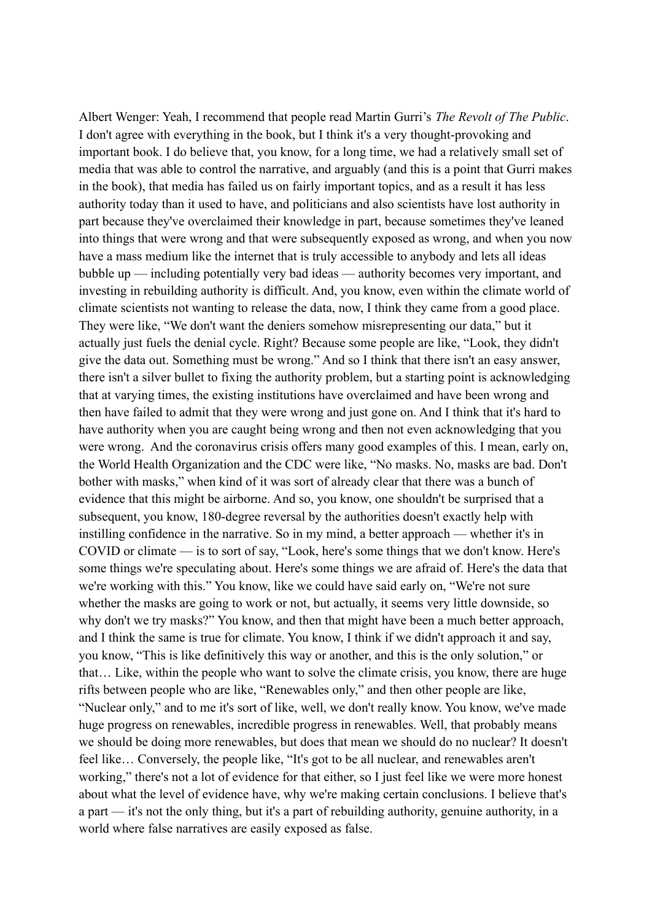Albert Wenger: Yeah, I recommend that people read Martin Gurri's *The Revolt of The Public*. I don't agree with everything in the book, but I think it's a very thought-provoking and important book. I do believe that, you know, for a long time, we had a relatively small set of media that was able to control the narrative, and arguably (and this is a point that Gurri makes in the book), that media has failed us on fairly important topics, and as a result it has less authority today than it used to have, and politicians and also scientists have lost authority in part because they've overclaimed their knowledge in part, because sometimes they've leaned into things that were wrong and that were subsequently exposed as wrong, and when you now have a mass medium like the internet that is truly accessible to anybody and lets all ideas bubble up — including potentially very bad ideas — authority becomes very important, and investing in rebuilding authority is difficult. And, you know, even within the climate world of climate scientists not wanting to release the data, now, I think they came from a good place. They were like, "We don't want the deniers somehow misrepresenting our data," but it actually just fuels the denial cycle. Right? Because some people are like, "Look, they didn't give the data out. Something must be wrong." And so I think that there isn't an easy answer, there isn't a silver bullet to fixing the authority problem, but a starting point is acknowledging that at varying times, the existing institutions have overclaimed and have been wrong and then have failed to admit that they were wrong and just gone on. And I think that it's hard to have authority when you are caught being wrong and then not even acknowledging that you were wrong. And the coronavirus crisis offers many good examples of this. I mean, early on, the World Health Organization and the CDC were like, "No masks. No, masks are bad. Don't bother with masks," when kind of it was sort of already clear that there was a bunch of evidence that this might be airborne. And so, you know, one shouldn't be surprised that a subsequent, you know, 180-degree reversal by the authorities doesn't exactly help with instilling confidence in the narrative. So in my mind, a better approach — whether it's in COVID or climate — is to sort of say, "Look, here's some things that we don't know. Here's some things we're speculating about. Here's some things we are afraid of. Here's the data that we're working with this." You know, like we could have said early on, "We're not sure whether the masks are going to work or not, but actually, it seems very little downside, so why don't we try masks?" You know, and then that might have been a much better approach, and I think the same is true for climate. You know, I think if we didn't approach it and say, you know, "This is like definitively this way or another, and this is the only solution," or that… Like, within the people who want to solve the climate crisis, you know, there are huge rifts between people who are like, "Renewables only," and then other people are like, "Nuclear only," and to me it's sort of like, well, we don't really know. You know, we've made huge progress on renewables, incredible progress in renewables. Well, that probably means we should be doing more renewables, but does that mean we should do no nuclear? It doesn't feel like… Conversely, the people like, "It's got to be all nuclear, and renewables aren't working," there's not a lot of evidence for that either, so I just feel like we were more honest about what the level of evidence have, why we're making certain conclusions. I believe that's a part — it's not the only thing, but it's a part of rebuilding authority, genuine authority, in a world where false narratives are easily exposed as false.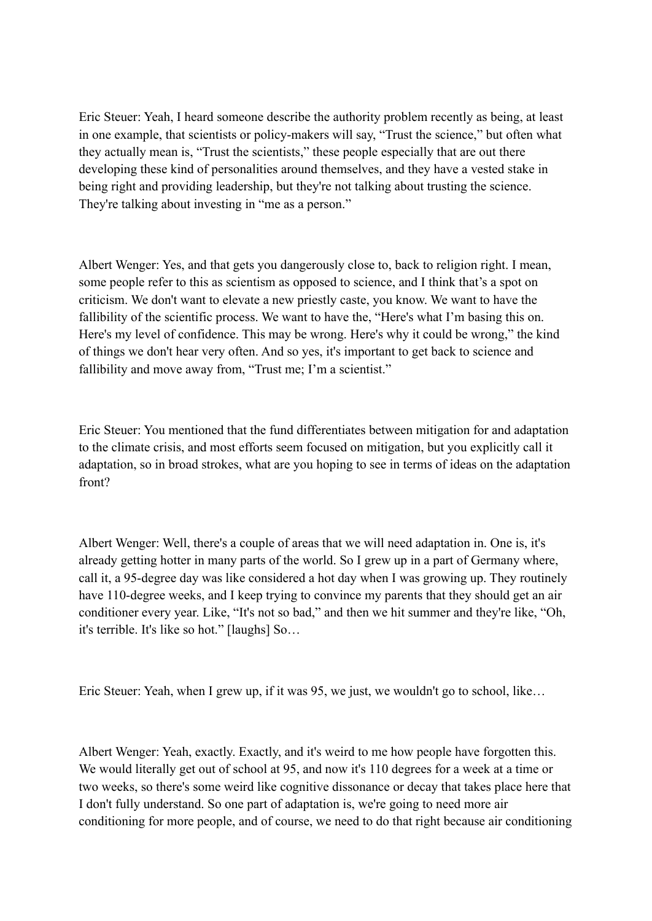Eric Steuer: Yeah, I heard someone describe the authority problem recently as being, at least in one example, that scientists or policy-makers will say, "Trust the science," but often what they actually mean is, "Trust the scientists," these people especially that are out there developing these kind of personalities around themselves, and they have a vested stake in being right and providing leadership, but they're not talking about trusting the science. They're talking about investing in "me as a person."

Albert Wenger: Yes, and that gets you dangerously close to, back to religion right. I mean, some people refer to this as scientism as opposed to science, and I think that's a spot on criticism. We don't want to elevate a new priestly caste, you know. We want to have the fallibility of the scientific process. We want to have the, "Here's what I'm basing this on. Here's my level of confidence. This may be wrong. Here's why it could be wrong," the kind of things we don't hear very often. And so yes, it's important to get back to science and fallibility and move away from, "Trust me; I'm a scientist."

Eric Steuer: You mentioned that the fund differentiates between mitigation for and adaptation to the climate crisis, and most efforts seem focused on mitigation, but you explicitly call it adaptation, so in broad strokes, what are you hoping to see in terms of ideas on the adaptation front?

Albert Wenger: Well, there's a couple of areas that we will need adaptation in. One is, it's already getting hotter in many parts of the world. So I grew up in a part of Germany where, call it, a 95-degree day was like considered a hot day when I was growing up. They routinely have 110-degree weeks, and I keep trying to convince my parents that they should get an air conditioner every year. Like, "It's not so bad," and then we hit summer and they're like, "Oh, it's terrible. It's like so hot." [laughs] So…

Eric Steuer: Yeah, when I grew up, if it was 95, we just, we wouldn't go to school, like…

Albert Wenger: Yeah, exactly. Exactly, and it's weird to me how people have forgotten this. We would literally get out of school at 95, and now it's 110 degrees for a week at a time or two weeks, so there's some weird like cognitive dissonance or decay that takes place here that I don't fully understand. So one part of adaptation is, we're going to need more air conditioning for more people, and of course, we need to do that right because air conditioning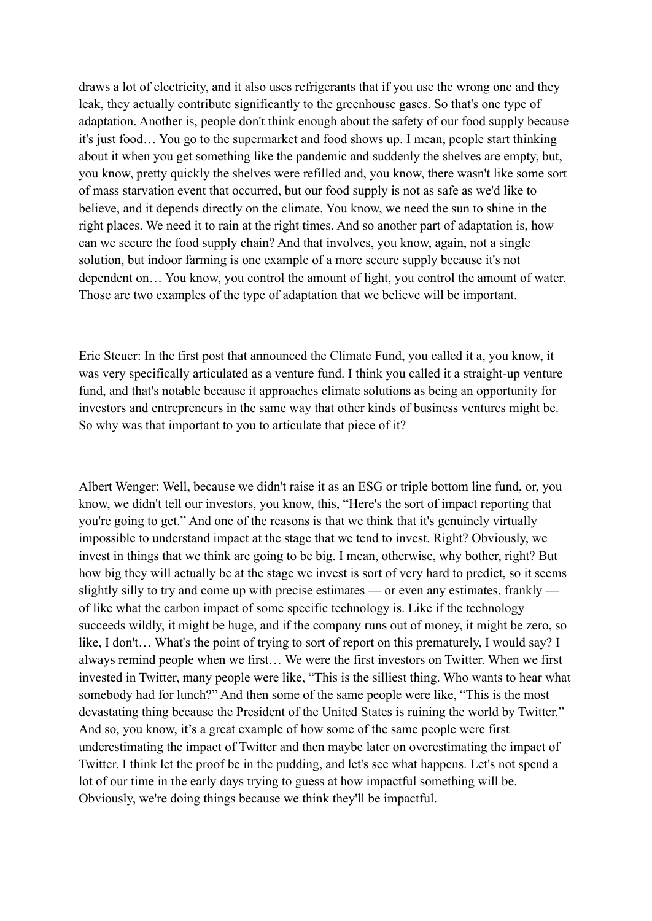draws a lot of electricity, and it also uses refrigerants that if you use the wrong one and they leak, they actually contribute significantly to the greenhouse gases. So that's one type of adaptation. Another is, people don't think enough about the safety of our food supply because it's just food… You go to the supermarket and food shows up. I mean, people start thinking about it when you get something like the pandemic and suddenly the shelves are empty, but, you know, pretty quickly the shelves were refilled and, you know, there wasn't like some sort of mass starvation event that occurred, but our food supply is not as safe as we'd like to believe, and it depends directly on the climate. You know, we need the sun to shine in the right places. We need it to rain at the right times. And so another part of adaptation is, how can we secure the food supply chain? And that involves, you know, again, not a single solution, but indoor farming is one example of a more secure supply because it's not dependent on… You know, you control the amount of light, you control the amount of water. Those are two examples of the type of adaptation that we believe will be important.

Eric Steuer: In the first post that announced the Climate Fund, you called it a, you know, it was very specifically articulated as a venture fund. I think you called it a straight-up venture fund, and that's notable because it approaches climate solutions as being an opportunity for investors and entrepreneurs in the same way that other kinds of business ventures might be. So why was that important to you to articulate that piece of it?

Albert Wenger: Well, because we didn't raise it as an ESG or triple bottom line fund, or, you know, we didn't tell our investors, you know, this, "Here's the sort of impact reporting that you're going to get." And one of the reasons is that we think that it's genuinely virtually impossible to understand impact at the stage that we tend to invest. Right? Obviously, we invest in things that we think are going to be big. I mean, otherwise, why bother, right? But how big they will actually be at the stage we invest is sort of very hard to predict, so it seems slightly silly to try and come up with precise estimates — or even any estimates, frankly of like what the carbon impact of some specific technology is. Like if the technology succeeds wildly, it might be huge, and if the company runs out of money, it might be zero, so like, I don't… What's the point of trying to sort of report on this prematurely, I would say? I always remind people when we first… We were the first investors on Twitter. When we first invested in Twitter, many people were like, "This is the silliest thing. Who wants to hear what somebody had for lunch?" And then some of the same people were like, "This is the most devastating thing because the President of the United States is ruining the world by Twitter." And so, you know, it's a great example of how some of the same people were first underestimating the impact of Twitter and then maybe later on overestimating the impact of Twitter. I think let the proof be in the pudding, and let's see what happens. Let's not spend a lot of our time in the early days trying to guess at how impactful something will be. Obviously, we're doing things because we think they'll be impactful.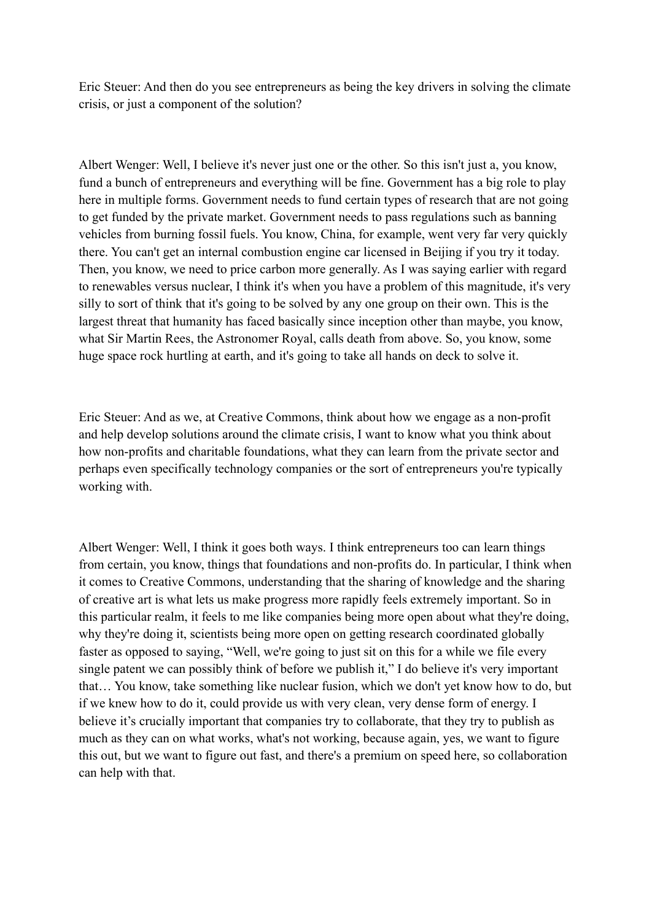Eric Steuer: And then do you see entrepreneurs as being the key drivers in solving the climate crisis, or just a component of the solution?

Albert Wenger: Well, I believe it's never just one or the other. So this isn't just a, you know, fund a bunch of entrepreneurs and everything will be fine. Government has a big role to play here in multiple forms. Government needs to fund certain types of research that are not going to get funded by the private market. Government needs to pass regulations such as banning vehicles from burning fossil fuels. You know, China, for example, went very far very quickly there. You can't get an internal combustion engine car licensed in Beijing if you try it today. Then, you know, we need to price carbon more generally. As I was saying earlier with regard to renewables versus nuclear, I think it's when you have a problem of this magnitude, it's very silly to sort of think that it's going to be solved by any one group on their own. This is the largest threat that humanity has faced basically since inception other than maybe, you know, what Sir Martin Rees, the Astronomer Royal, calls death from above. So, you know, some huge space rock hurtling at earth, and it's going to take all hands on deck to solve it.

Eric Steuer: And as we, at Creative Commons, think about how we engage as a non-profit and help develop solutions around the climate crisis, I want to know what you think about how non-profits and charitable foundations, what they can learn from the private sector and perhaps even specifically technology companies or the sort of entrepreneurs you're typically working with.

Albert Wenger: Well, I think it goes both ways. I think entrepreneurs too can learn things from certain, you know, things that foundations and non-profits do. In particular, I think when it comes to Creative Commons, understanding that the sharing of knowledge and the sharing of creative art is what lets us make progress more rapidly feels extremely important. So in this particular realm, it feels to me like companies being more open about what they're doing, why they're doing it, scientists being more open on getting research coordinated globally faster as opposed to saying, "Well, we're going to just sit on this for a while we file every single patent we can possibly think of before we publish it," I do believe it's very important that… You know, take something like nuclear fusion, which we don't yet know how to do, but if we knew how to do it, could provide us with very clean, very dense form of energy. I believe it's crucially important that companies try to collaborate, that they try to publish as much as they can on what works, what's not working, because again, yes, we want to figure this out, but we want to figure out fast, and there's a premium on speed here, so collaboration can help with that.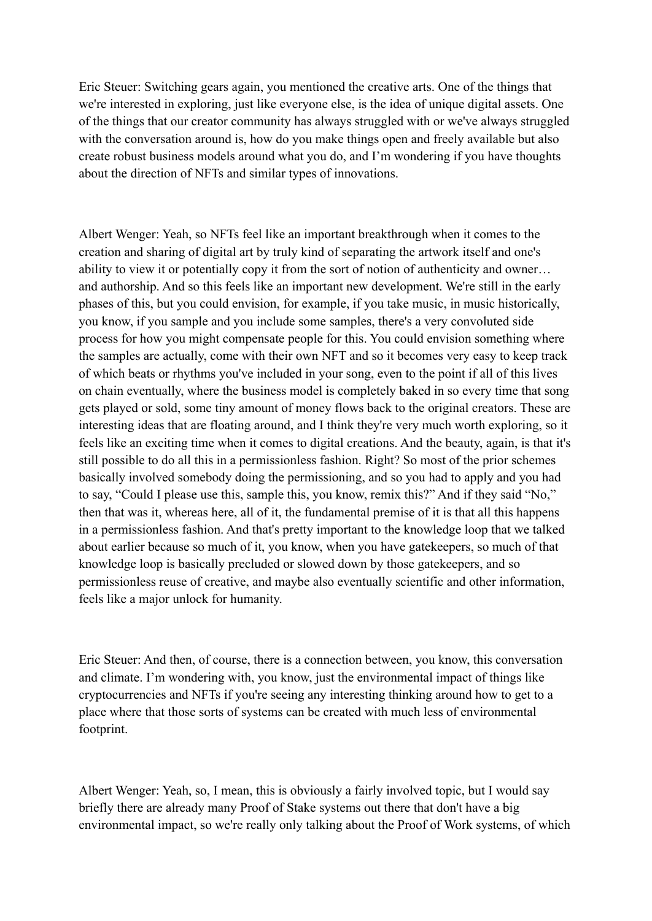Eric Steuer: Switching gears again, you mentioned the creative arts. One of the things that we're interested in exploring, just like everyone else, is the idea of unique digital assets. One of the things that our creator community has always struggled with or we've always struggled with the conversation around is, how do you make things open and freely available but also create robust business models around what you do, and I'm wondering if you have thoughts about the direction of NFTs and similar types of innovations.

Albert Wenger: Yeah, so NFTs feel like an important breakthrough when it comes to the creation and sharing of digital art by truly kind of separating the artwork itself and one's ability to view it or potentially copy it from the sort of notion of authenticity and owner… and authorship. And so this feels like an important new development. We're still in the early phases of this, but you could envision, for example, if you take music, in music historically, you know, if you sample and you include some samples, there's a very convoluted side process for how you might compensate people for this. You could envision something where the samples are actually, come with their own NFT and so it becomes very easy to keep track of which beats or rhythms you've included in your song, even to the point if all of this lives on chain eventually, where the business model is completely baked in so every time that song gets played or sold, some tiny amount of money flows back to the original creators. These are interesting ideas that are floating around, and I think they're very much worth exploring, so it feels like an exciting time when it comes to digital creations. And the beauty, again, is that it's still possible to do all this in a permissionless fashion. Right? So most of the prior schemes basically involved somebody doing the permissioning, and so you had to apply and you had to say, "Could I please use this, sample this, you know, remix this?" And if they said "No," then that was it, whereas here, all of it, the fundamental premise of it is that all this happens in a permissionless fashion. And that's pretty important to the knowledge loop that we talked about earlier because so much of it, you know, when you have gatekeepers, so much of that knowledge loop is basically precluded or slowed down by those gatekeepers, and so permissionless reuse of creative, and maybe also eventually scientific and other information, feels like a major unlock for humanity.

Eric Steuer: And then, of course, there is a connection between, you know, this conversation and climate. I'm wondering with, you know, just the environmental impact of things like cryptocurrencies and NFTs if you're seeing any interesting thinking around how to get to a place where that those sorts of systems can be created with much less of environmental footprint.

Albert Wenger: Yeah, so, I mean, this is obviously a fairly involved topic, but I would say briefly there are already many Proof of Stake systems out there that don't have a big environmental impact, so we're really only talking about the Proof of Work systems, of which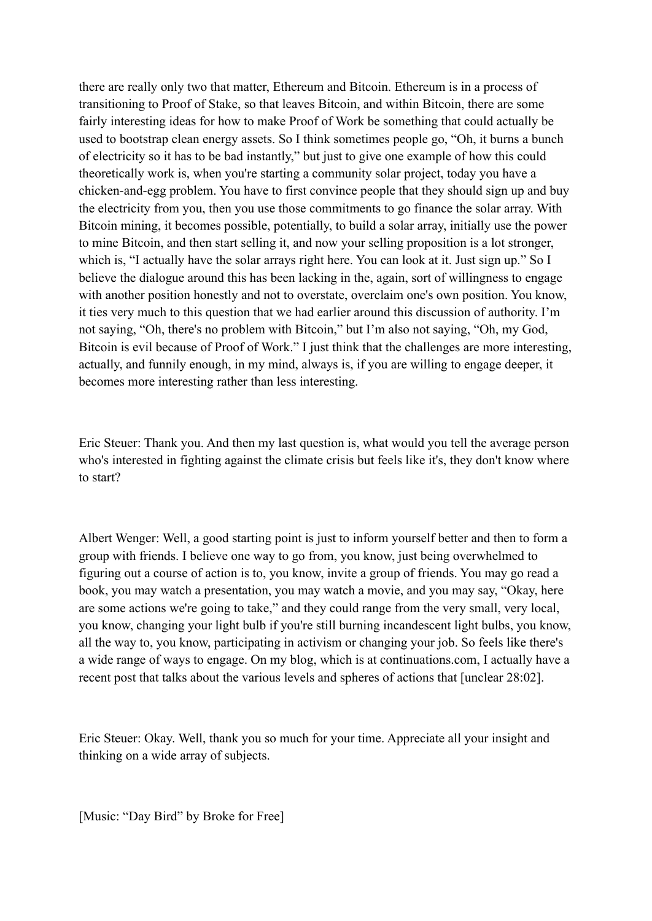there are really only two that matter, Ethereum and Bitcoin. Ethereum is in a process of transitioning to Proof of Stake, so that leaves Bitcoin, and within Bitcoin, there are some fairly interesting ideas for how to make Proof of Work be something that could actually be used to bootstrap clean energy assets. So I think sometimes people go, "Oh, it burns a bunch of electricity so it has to be bad instantly," but just to give one example of how this could theoretically work is, when you're starting a community solar project, today you have a chicken-and-egg problem. You have to first convince people that they should sign up and buy the electricity from you, then you use those commitments to go finance the solar array. With Bitcoin mining, it becomes possible, potentially, to build a solar array, initially use the power to mine Bitcoin, and then start selling it, and now your selling proposition is a lot stronger, which is, "I actually have the solar arrays right here. You can look at it. Just sign up." So I believe the dialogue around this has been lacking in the, again, sort of willingness to engage with another position honestly and not to overstate, overclaim one's own position. You know, it ties very much to this question that we had earlier around this discussion of authority. I'm not saying, "Oh, there's no problem with Bitcoin," but I'm also not saying, "Oh, my God, Bitcoin is evil because of Proof of Work." I just think that the challenges are more interesting, actually, and funnily enough, in my mind, always is, if you are willing to engage deeper, it becomes more interesting rather than less interesting.

Eric Steuer: Thank you. And then my last question is, what would you tell the average person who's interested in fighting against the climate crisis but feels like it's, they don't know where to start?

Albert Wenger: Well, a good starting point is just to inform yourself better and then to form a group with friends. I believe one way to go from, you know, just being overwhelmed to figuring out a course of action is to, you know, invite a group of friends. You may go read a book, you may watch a presentation, you may watch a movie, and you may say, "Okay, here are some actions we're going to take," and they could range from the very small, very local, you know, changing your light bulb if you're still burning incandescent light bulbs, you know, all the way to, you know, participating in activism or changing your job. So feels like there's a wide range of ways to engage. On my blog, which is at continuations.com, I actually have a recent post that talks about the various levels and spheres of actions that [unclear 28:02].

Eric Steuer: Okay. Well, thank you so much for your time. Appreciate all your insight and thinking on a wide array of subjects.

[Music: "Day Bird" by Broke for Free]